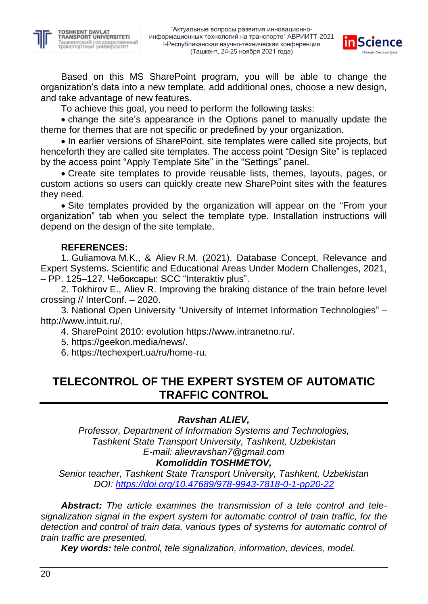



Based on this MS SharePoint program, you will be able to change the organization's data into a new template, add additional ones, choose a new design, and take advantage of new features.

To achieve this goal, you need to perform the following tasks:

 change the site's appearance in the Options panel to manually update the theme for themes that are not specific or predefined by your organization.

• In earlier versions of SharePoint, site templates were called site projects, but henceforth they are called site templates. The access point "Design Site" is replaced by the access point "Apply Template Site" in the "Settings" panel.

 Create site templates to provide reusable lists, themes, layouts, pages, or custom actions so users can quickly create new SharePoint sites with the features they need.

 Site templates provided by the organization will appear on the "From your organization" tab when you select the template type. Installation instructions will depend on the design of the site template.

### **REFERENCES:**

1. Guliamova M.K., & Aliev R.M. (2021). Database Concept, Relevance and Expert Systems. Scientific and Educational Areas Under Modern Challenges, 2021, – PP. 125–127. Чебоксары: SCC "Interaktiv plus".

2. Tokhirov E., Aliev R. Improving the braking distance of the train before level crossing // InterConf. – 2020.

3. National Open University "University of Internet Information Technologies" – http://www.intuit.ru/.

4. SharePoint 2010: evolution https://www.intranetno.ru/.

5. https://geekon.media/news/.

6. https://techexpert.ua/ru/home-ru.

# **TELECONTROL OF THE EXPERT SYSTEM OF AUTOMATIC TRAFFIC CONTROL**

### *Ravshan ALIEV,*

*Professor, Department of Information Systems and Technologies, Tashkent State Transport University, Tashkent, Uzbekistan E-mail: alievravshan7@gmail.com*

### *Komoliddin TOSHMETOV,*

*Senior teacher, Tashkent State Transport University, Tashkent, Uzbekistan DOI:<https://doi.org/10.47689/978-9943-7818-0-1-pp20-22>*

*Abstract: The article examines the transmission of a tele control and telesignalization signal in the expert system for automatic control of train traffic, for the detection and control of train data, various types of systems for automatic control of train traffic are presented.*

*Key words: tele control, tele signalization, information, devices, model.*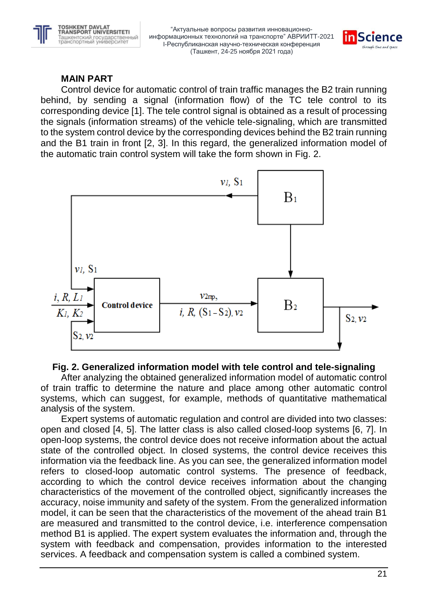



## **MAIN PART**

Control device for automatic control of train traffic manages the B2 train running behind, by sending a signal (information flow) of the TC tele control to its corresponding device [1]. The tele control signal is obtained as a result of processing the signals (information streams) of the vehicle tele-signaling, which are transmitted to the system control device by the corresponding devices behind the B2 train running and the B1 train in front [2, 3]. In this regard, the generalized information model of the automatic train control system will take the form shown in Fig. 2.



### **Fig. 2. Generalized information model with tele control and tele-signaling**

After analyzing the obtained generalized information model of automatic control of train traffic to determine the nature and place among other automatic control systems, which can suggest, for example, methods of quantitative mathematical analysis of the system.

Expert systems of automatic regulation and control are divided into two classes: open and closed [4, 5]. The latter class is also called closed-loop systems [6, 7]. In open-loop systems, the control device does not receive information about the actual state of the controlled object. In closed systems, the control device receives this information via the feedback line. As you can see, the generalized information model refers to closed-loop automatic control systems. The presence of feedback, according to which the control device receives information about the changing characteristics of the movement of the controlled object, significantly increases the accuracy, noise immunity and safety of the system. From the generalized information model, it can be seen that the characteristics of the movement of the ahead train B1 are measured and transmitted to the control device, i.e. interference compensation method B1 is applied. The expert system evaluates the information and, through the system with feedback and compensation, provides information to the interested services. A feedback and compensation system is called a combined system.